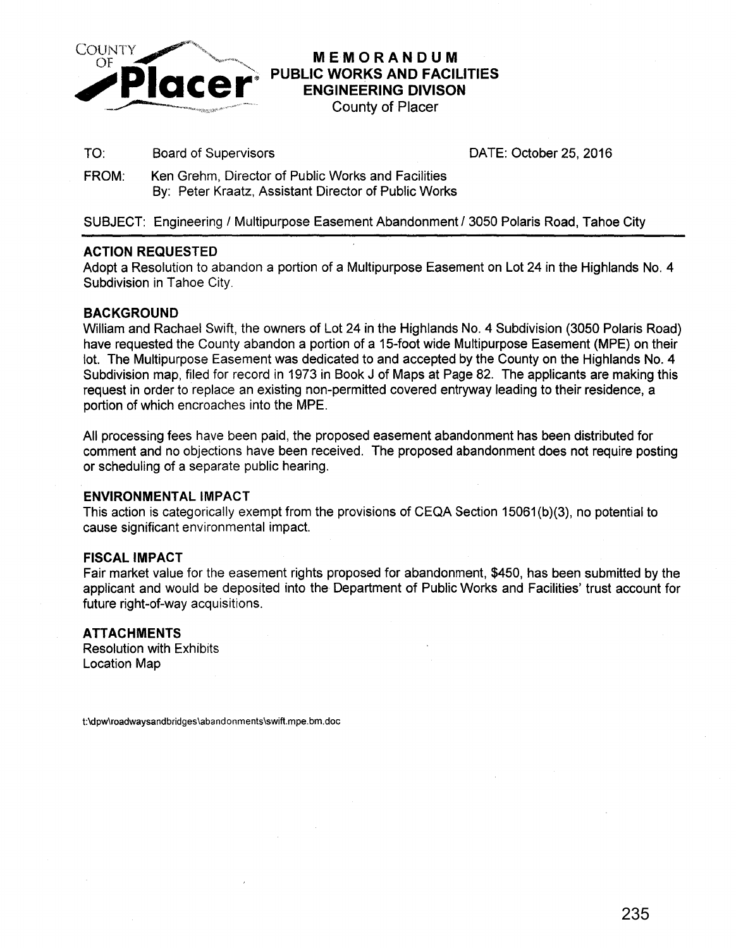

### MEMORANDUM PUBLIC WORKS AND FACILITIES ENGINEERING DIVISON

County of Placer

TO: Board of Supervisors DATE: October 25, 2016

FROM: Ken Grehm, Director of Public Works and Facilities By: Peter Kraatz, Assistant Director of Public Works

SUBJECT: Engineering / Multipurpose Easement Abandonment / 3050 Polaris Road, Tahoe City

#### ACTION REQUESTED

Adopt a Resolution to abandon a portion of a Multipurpose Easement on Lot 24 in the Highlands No. 4 Subdivision in Tahoe City.

#### BACKGROUND

William and Rachael Swift, the owners of Lot 24 in the Highlands No. 4 Subdivision (3050 Polaris Road) have requested the County abandon a portion of a 15-foot wide Multipurpose Easement (MPE) on their lot. The Multipurpose Easement was dedicated to and accepted by the County on the Highlands No. 4 Subdivision map, filed for record in 1973 in Book J of Maps at Page 82. The applicants are making this request in order to replace an existing non-permitted covered entryway leading to their residence, a portion of which encroaches into the MPE.

All processing fees have been paid, the proposed easement abandonment has been distributed for comment and no objections have been received. The proposed abandonment does not require posting or scheduling of a separate public hearing.

#### ENVIRONMENTAL IMPACT

This action is categorically exempt from the provisions of CEQA Section 15061 (b)(3), no potential to cause significant environmental impact.

#### FISCAL IMPACT

Fair market value for the easement rights proposed for abandonment, \$450, has been submitted by the applicant and would be deposited into the Department of Public Works and Facilities' trust account for future right-of-way acquisitions.

#### ATTACHMENTS

Resolution with Exhibits Location Map

t:\dpw\roadwaysandbridges\abandonments\swift.mpe.bm.doc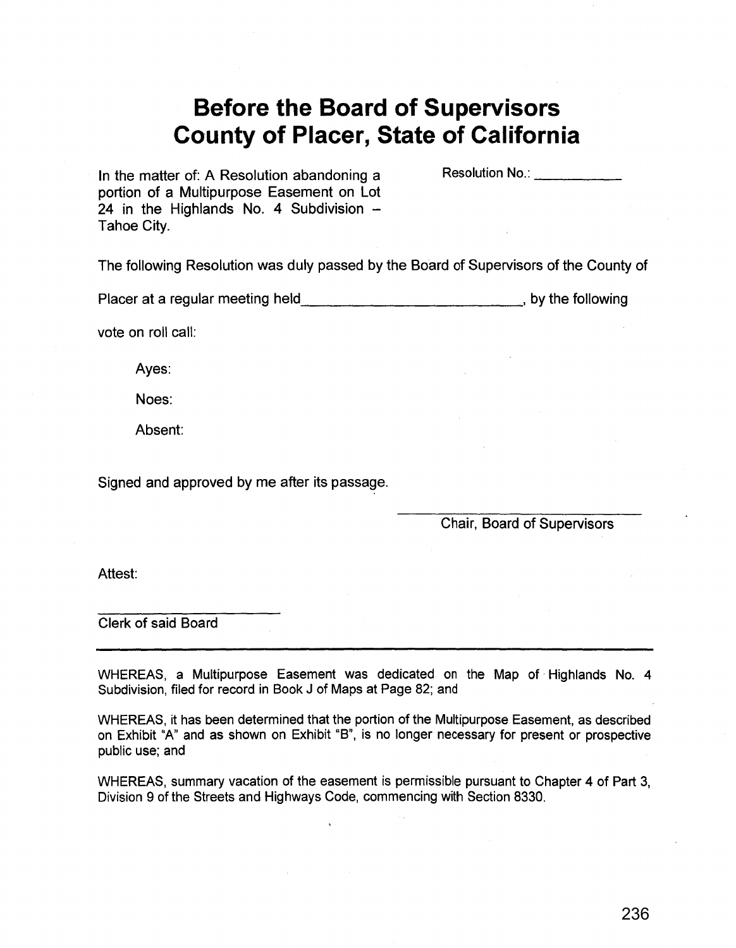## **Before the Board of Supervisors County of Placer, State of California**

In the matter of: A Resolution abandoning a portion of a Multipurpose Easement on Lot 24 in the Highlands No. 4 Subdivision  $-$ Tahoe City.

Resolution No.: 400 and 200 and 200 and 200 and 200 and 200 and 200 and 200 and 200 and 200 and 200 and 200 and 200 and 200 and 200 and 200 and 200 and 200 and 200 and 200 and 200 and 200 and 200 and 200 and 200 and 200 an

The following Resolution was duly passed by the Board of Supervisors of the County of

Placer at a regular meeting held by the following state of the following

vote on roll call:

Ayes:

Noes:

Absent:

Signed and approved by me after its passage.

Chair, Board of Supervisors

Attest:

Clerk of said Board

WHEREAS, a Multipurpose Easement was dedicated on the Map of Highlands No. 4 Subdivision, filed for record in Book J of Maps at Page 82; and

WHEREAS, it has been determined that the portion of the Multipurpose Easement, as described on Exhibit "A" and as shown on Exhibit "B", is no longer necessary for present or prospective public use; and

WHEREAS, summary vacation of the easement is permissible pursuant to Chapter 4 of Part 3, Division 9 of the Streets and Highways Code, commencing with Section 8330.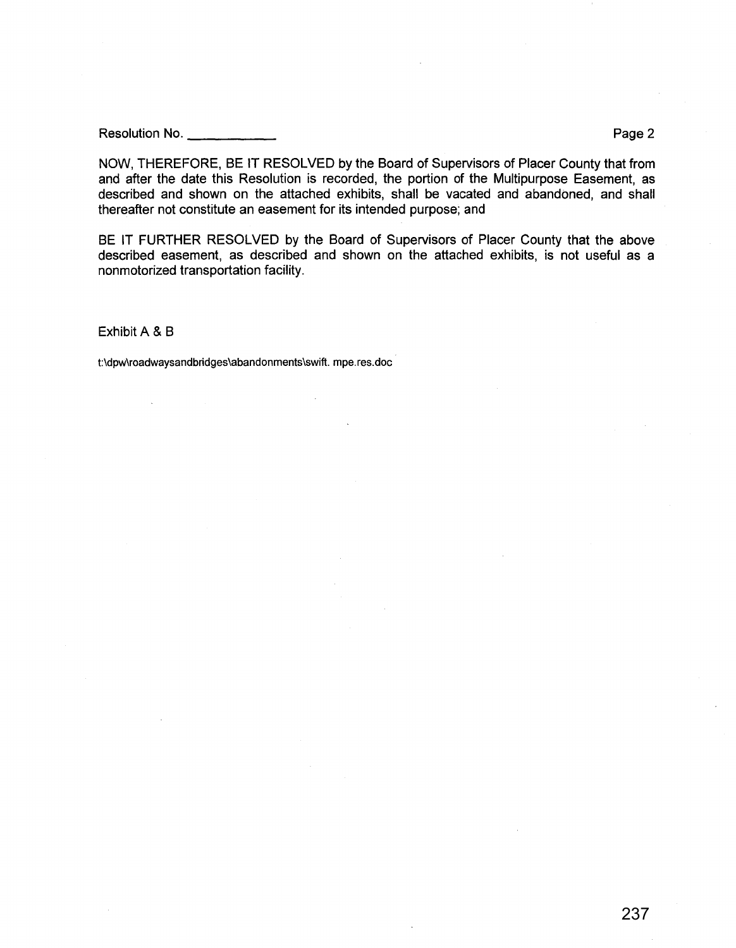Page 2

NOW, THEREFORE, BE IT RESOLVED by the Board of Supervisors of Placer County that from and after the date this Resolution is recorded, the portion of the Multipurpose Easement, as described and shown on the attached exhibits, shall be vacated and abandoned, and shall thereafter not constitute an easement for its intended purpose; and

BE IT FURTHER RESOLVED by the Board of Supervisors of Placer County that the above described easement, as described and shown on the attached exhibits, is not useful as a nonmotorized transportation facility.

Exhibit A & B

t:\dpw\roadwaysandbridges\abandonments\swift. mpe. res. doc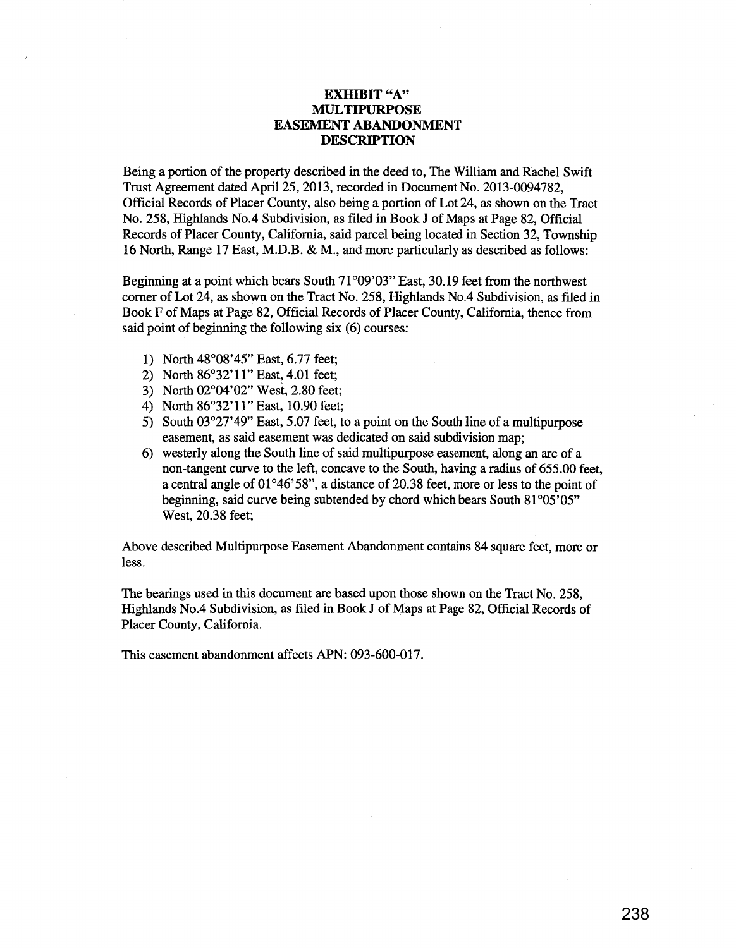#### **EXHIBIT** "A" **MULTIPURPOSE EASEMENT ABANDONMENT DESCRIPTION**

Being a portion of the property described in the deed to, The William and Rachel Swift Trust Agreement dated April25, 2013, recorded in Document No. 2013-0094782, Official Records of Placer County, also being a portion of Lot 24, as shown on the Tract No. 258, Highlands No.4 Subdivision, as filed in Book J of Maps at Page 82, Official Records of Placer County, California, said parcel being located in Section 32, Township 16 North, Range 17 East, M.D.B. & M., and more particularly as described as follows:

Beginning at a point which bears South  $71^{\circ}09'03''$  East, 30.19 feet from the northwest corner of Lot 24, as shown on the Tract No. 258, Highlands No.4 Subdivision, as filed in Book F of Maps at Page 82, Official Records of Placer County, California, thence from said point of beginning the following six (6) courses:

- 1) North 48°08'45" East, 6.77 feet;
- 2) North 86°32'11" East, 4.01 feet;
- 3) North 02°04'02" West, 2.80 feet;
- 4) North 86°32'11" East, 10.90 feet;
- 5) South 03°27'49" East, 5.07 feet, to a point on the South line of a multipurpose easement, as said easement was dedicated on said subdivision map;
- 6) westerly along the South line of said multipurpose easement, along an arc of a non-tangent curve to the left, concave to the South, having a radius of 655.00 feet, a central angle of 01°46'58", a distance of 20.38 feet, more or less to the point of beginning, said curve being subtended by chord which bears South 81°05'05" West, 20.38 feet;

Above described Multipurpose Easement Abandonment contains 84 square feet, more or less.

The bearings used in this document are based upon those shown on the Tract No. 258, Highlands No.4 Subdivision, as filed in Book J of Maps at Page 82, Official Records of Placer County, California.

This easement abandonment affects APN: 093-600-017.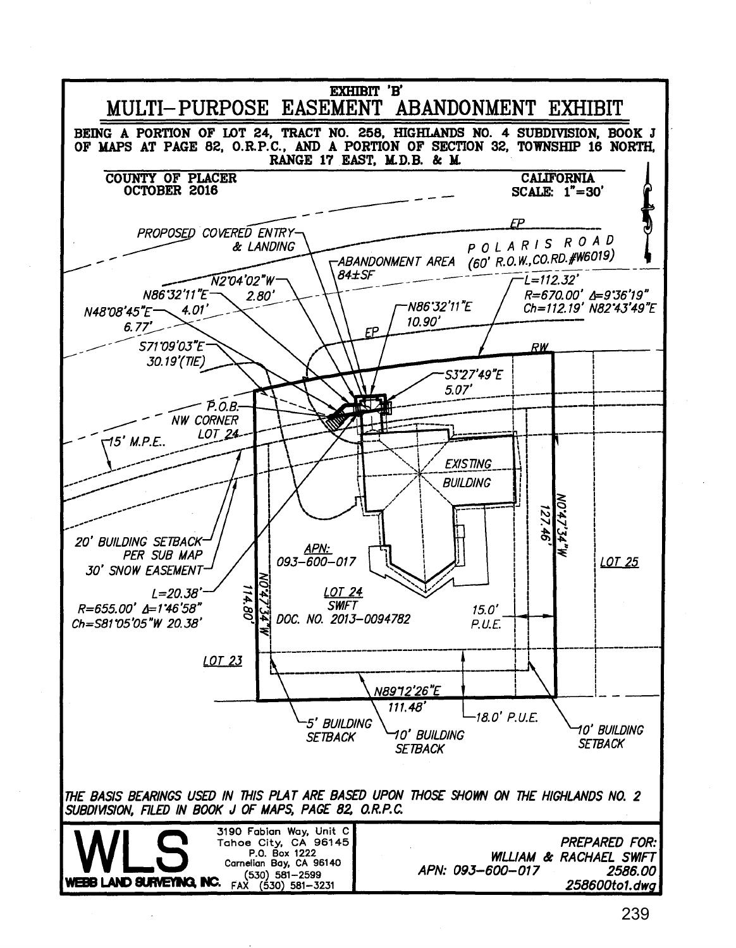